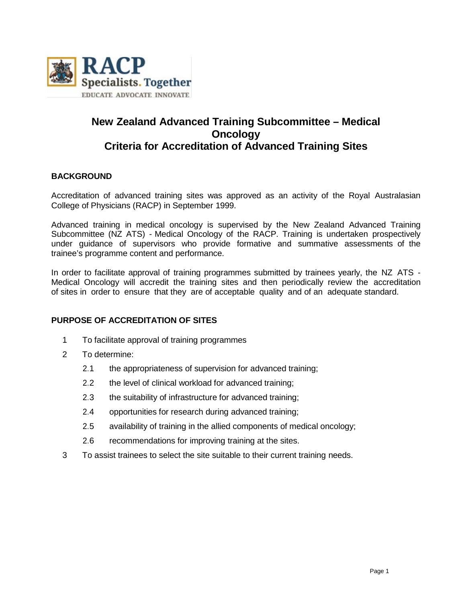

# **New Zealand Advanced Training Subcommittee – Medical Oncology Criteria for Accreditation of Advanced Training Sites**

# **BACKGROUND**

Accreditation of advanced training sites was approved as an activity of the Royal Australasian College of Physicians (RACP) in September 1999.

Advanced training in medical oncology is supervised by the New Zealand Advanced Training Subcommittee (NZ ATS) - Medical Oncology of the RACP. Training is undertaken prospectively under guidance of supervisors who provide formative and summative assessments of the trainee's programme content and performance.

In order to facilitate approval of training programmes submitted by trainees yearly, the NZ ATS - Medical Oncology will accredit the training sites and then periodically review the accreditation of sites in order to ensure that they are of acceptable quality and of an adequate standard.

# **PURPOSE OF ACCREDITATION OF SITES**

- 1 To facilitate approval of training programmes
- 2 To determine:
	- 2.1 the appropriateness of supervision for advanced training;
	- 2.2 the level of clinical workload for advanced training;
	- 2.3 the suitability of infrastructure for advanced training;
	- 2.4 opportunities for research during advanced training;
	- 2.5 availability of training in the allied components of medical oncology;
	- 2.6 recommendations for improving training at the sites.
- 3 To assist trainees to select the site suitable to their current training needs.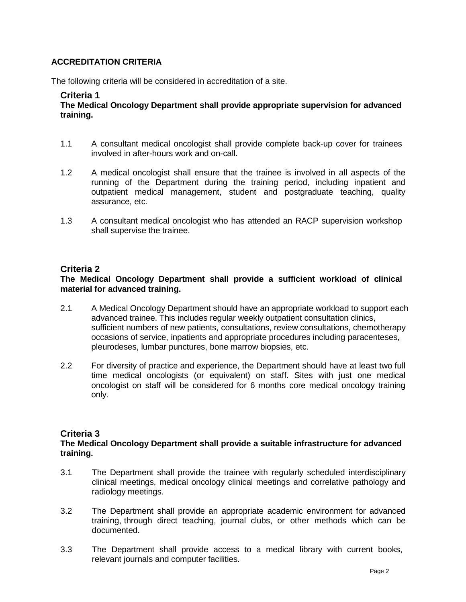# **ACCREDITATION CRITERIA**

The following criteria will be considered in accreditation of a site.

## **Criteria 1**

**The Medical Oncology Department shall provide appropriate supervision for advanced training.**

- 1.1 A consultant medical oncologist shall provide complete back-up cover for trainees involved in after-hours work and on-call.
- 1.2 A medical oncologist shall ensure that the trainee is involved in all aspects of the running of the Department during the training period, including inpatient and outpatient medical management, student and postgraduate teaching, quality assurance, etc.
- 1.3 A consultant medical oncologist who has attended an RACP supervision workshop shall supervise the trainee.

## **Criteria 2**

# **The Medical Oncology Department shall provide a sufficient workload of clinical material for advanced training.**

- 2.1 A Medical Oncology Department should have an appropriate workload to support each advanced trainee. This includes regular weekly outpatient consultation clinics, sufficient numbers of new patients, consultations, review consultations, chemotherapy occasions of service, inpatients and appropriate procedures including paracenteses, pleurodeses, lumbar punctures, bone marrow biopsies, etc.
- 2.2 For diversity of practice and experience, the Department should have at least two full time medical oncologists (or equivalent) on staff. Sites with just one medical oncologist on staff will be considered for 6 months core medical oncology training only.

# **Criteria 3**

## **The Medical Oncology Department shall provide a suitable infrastructure for advanced training.**

- 3.1 The Department shall provide the trainee with regularly scheduled interdisciplinary clinical meetings, medical oncology clinical meetings and correlative pathology and radiology meetings.
- 3.2 The Department shall provide an appropriate academic environment for advanced training, through direct teaching, journal clubs, or other methods which can be documented.
- 3.3 The Department shall provide access to a medical library with current books, relevant journals and computer facilities.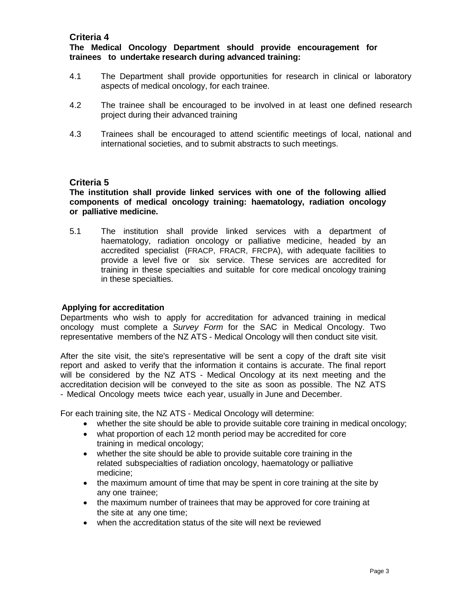# **The Medical Oncology Department should provide encouragement for trainees to undertake research during advanced training:**

- 4.1 The Department shall provide opportunities for research in clinical or laboratory aspects of medical oncology, for each trainee.
- 4.2 The trainee shall be encouraged to be involved in at least one defined research project during their advanced training
- 4.3 Trainees shall be encouraged to attend scientific meetings of local, national and international societies, and to submit abstracts to such meetings.

# **Criteria 5**

**The institution shall provide linked services with one of the following allied components of medical oncology training: haematology, radiation oncology or palliative medicine.**

5.1 The institution shall provide linked services with a department of haematology, radiation oncology or palliative medicine, headed by an accredited specialist (FRACP, FRACR, FRCPA), with adequate facilities to provide a level five or six service. These services are accredited for training in these specialties and suitable for core medical oncology training in these specialties.

## **Applying for accreditation**

Departments who wish to apply for accreditation for advanced training in medical oncology must complete a *Survey Form* for the SAC in Medical Oncology. Two representative members of the NZ ATS - Medical Oncology will then conduct site visit.

After the site visit, the site's representative will be sent a copy of the draft site visit report and asked to verify that the information it contains is accurate. The final report will be considered by the NZ ATS - Medical Oncology at its next meeting and the accreditation decision will be conveyed to the site as soon as possible. The NZ ATS - Medical Oncology meets twice each year, usually in June and December.

For each training site, the NZ ATS - Medical Oncology will determine:

- whether the site should be able to provide suitable core training in medical oncology;
- what proportion of each 12 month period may be accredited for core training in medical oncology;
- whether the site should be able to provide suitable core training in the related subspecialties of radiation oncology, haematology or palliative medicine;
- the maximum amount of time that may be spent in core training at the site by any one trainee;
- the maximum number of trainees that may be approved for core training at the site at any one time;
- when the accreditation status of the site will next be reviewed